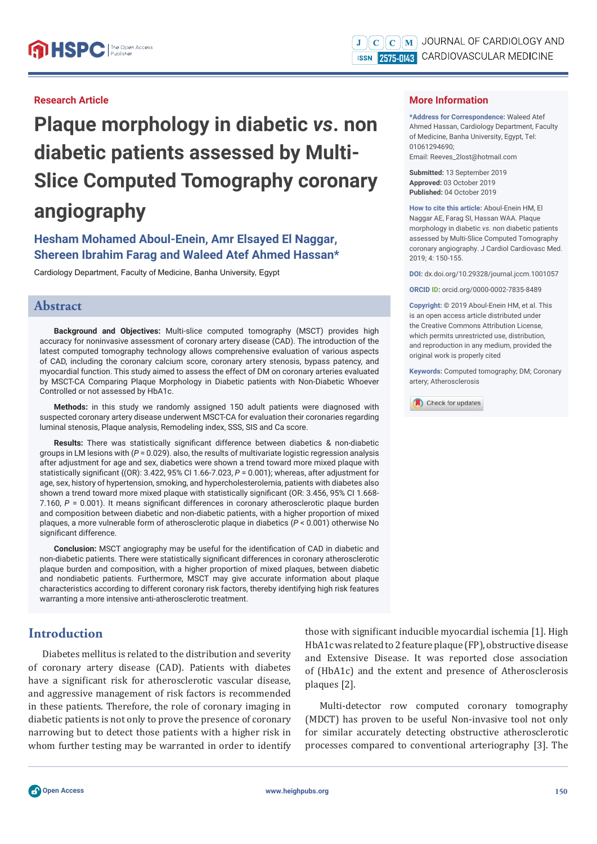### **Research Article**

**Plaque morphology in diabetic** *vs***. non diabetic patients assessed by Multi-Slice Computed Tomography coronary angiography** 

# **Hesham Mohamed Aboul-Enein, Amr Elsayed El Naggar, Shereen Ibrahim Farag and Waleed Atef Ahmed Hassan\***

Cardiology Department, Faculty of Medicine, Banha University, Egypt

## **Abstract**

**Background and Objectives:** Multi-slice computed tomography (MSCT) provides high accuracy for noninvasive assessment of coronary artery disease (CAD). The introduction of the latest computed tomography technology allows comprehensive evaluation of various aspects of CAD, including the coronary calcium score, coronary artery stenosis, bypass patency, and myocardial function. This study aimed to assess the effect of DM on coronary arteries evaluated by MSCT-CA Comparing Plaque Morphology in Diabetic patients with Non-Diabetic Whoever Controlled or not assessed by HbA1c.

**Methods:** in this study we randomly assigned 150 adult patients were diagnosed with suspected coronary artery disease underwent MSCT-CA for evaluation their coronaries regarding luminal stenosis, Plaque analysis, Remodeling index, SSS, SIS and Ca score.

Results: There was statistically significant difference between diabetics & non-diabetic groups in LM lesions with (*P* = 0.029). also, the results of multivariate logistic regression analysis after adjustment for age and sex, diabetics were shown a trend toward more mixed plaque with statistically significant  $\{$ (OR): 3.422, 95% CI 1.66-7.023,  $P = 0.001\}$ ; whereas, after adjustment for age, sex, history of hypertension, smoking, and hypercholesterolemia, patients with diabetes also shown a trend toward more mixed plaque with statistically significant (OR: 3.456, 95% CI 1.668-7.160,  $P = 0.001$ ). It means significant differences in coronary atherosclerotic plaque burden and composition between diabetic and non-diabetic patients, with a higher proportion of mixed plaques, a more vulnerable form of atherosclerotic plaque in diabetics (*P* < 0.001) otherwise No significant difference.

**Conclusion:** MSCT angiography may be useful for the identification of CAD in diabetic and non-diabetic patients. There were statistically significant differences in coronary atherosclerotic plaque burden and composition, with a higher proportion of mixed plaques, between diabetic and nondiabetic patients. Furthermore, MSCT may give accurate information about plaque characteristics according to different coronary risk factors, thereby identifying high risk features warranting a more intensive anti-atherosclerotic treatment.

## **Introduction**

Diabetes mellitus is related to the distribution and severity of coronary artery disease (CAD). Patients with diabetes have a significant risk for atherosclerotic vascular disease, and aggressive management of risk factors is recommended in these patients. Therefore, the role of coronary imaging in diabetic patients is not only to prove the presence of coronary narrowing but to detect those patients with a higher risk in whom further testing may be warranted in order to identify

### **More Information**

**\*Address for Correspondence:** Waleed Atef Ahmed Hassan, Cardiology Department, Faculty of Medicine, Banha University, Egypt, Tel: 01061294690; Email: Reeves\_2lost@hotmail.com

**Submitted:** 13 September 2019 **Approved:** 03 October 2019 **Published:** 04 October 2019

**How to cite this article:** Aboul-Enein HM, El Naggar AE, Farag SI, Hassan WAA. Plaque morphology in diabetic *vs*. non diabetic patients assessed by Multi-Slice Computed Tomography coronary angiography. J Cardiol Cardiovasc Med. 2019; 4: 150-155.

**DOI:** dx.doi.org/10.29328/journal.jccm.1001057

**ORCID ID:** orcid.org/0000-0002-7835-8489

**Copyright: ©** 2019 Aboul-Enein HM, et al. This is an open access article distributed under the Creative Commons Attribution License, which permits unrestricted use, distribution, and reproduction in any medium, provided the original work is properly cited

**Keywords:** Computed tomography; DM; Coronary artery; Atherosclerosis

Check for updates

those with significant inducible myocardial ischemia [1]. High HbA1c was related to 2 feature plaque (FP), obstructive disease and Extensive Disease. It was reported close association of (HbA1c) and the extent and presence of Atherosclerosis plaques [2].

Multi-detector row computed coronary tomography (MDCT) has proven to be useful Non-invasive tool not only for similar accurately detecting obstructive atherosclerotic processes compared to conventional arteriography [3]. The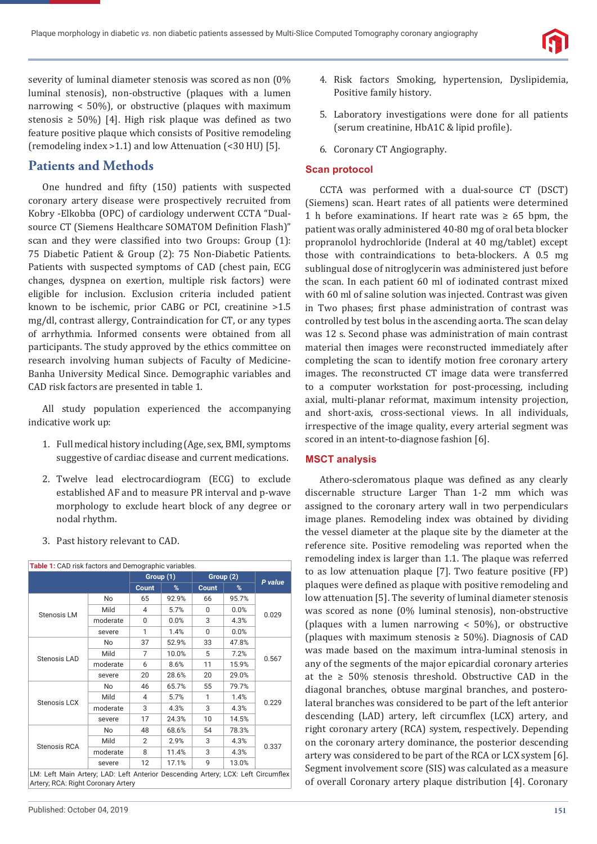

severity of luminal diameter stenosis was scored as non (0% luminal stenosis), non-obstructive (plaques with a lumen narrowing < 50%), or obstructive (plaques with maximum stenosis  $\geq 50\%$  [4]. High risk plaque was defined as two feature positive plaque which consists of Positive remodeling (remodeling index >1.1) and low Attenuation (<30 HU) [5].

# **Patients and Methods**

One hundred and fifty (150) patients with suspected coronary artery disease were prospectively recruited from Kobry -Elkobba (OPC) of cardiology underwent CCTA "Dualsource CT (Siemens Healthcare SOMATOM Definition Flash)" scan and they were classified into two Groups: Group (1): 75 Diabetic Patient & Group (2): 75 Non-Diabetic Patients. Patients with suspected symptoms of CAD (chest pain, ECG changes, dyspnea on exertion, multiple risk factors) were eligible for inclusion. Exclusion criteria included patient known to be ischemic, prior CABG or PCI, creatinine >1.5 mg/dl, contrast allergy, Contraindication for CT, or any types of arrhythmia. Informed consents were obtained from all participants. The study approved by the ethics committee on research involving human subjects of Faculty of Medicine-Banha University Medical Since. Demographic variables and CAD risk factors are presented in table 1.

All study population experienced the accompanying indicative work up:

- 1. Full medical history including (Age, sex, BMI, symptoms suggestive of cardiac disease and current medications.
- 2. Twelve lead electrocardiogram (ECG) to exclude established AF and to measure PR interval and p-wave morphology to exclude heart block of any degree or nodal rhythm.
- **Table 1:** CAD risk factors and Demographic variables.

3. Past history relevant to CAD.

|                                                                                                                        |          | Group (1) |       | Group (2)    |       |         |
|------------------------------------------------------------------------------------------------------------------------|----------|-----------|-------|--------------|-------|---------|
|                                                                                                                        |          | Count     | %     | <b>Count</b> | %     | P value |
|                                                                                                                        | No       | 65        | 92.9% | 66           | 95.7% | 0.029   |
|                                                                                                                        | Mild     | 4         | 5.7%  | 0            | 0.0%  |         |
| <b>Stenosis LM</b>                                                                                                     | moderate | 0         | 0.0%  | 3            | 4.3%  |         |
|                                                                                                                        | severe   | 1         | 1.4%  | 0            | 0.0%  |         |
|                                                                                                                        | No.      | 37        | 52.9% | 33           | 47.8% |         |
|                                                                                                                        | Mild     | 7         | 10.0% | 5            | 7.2%  | 0.567   |
| Stenosis LAD                                                                                                           | moderate | 6         | 8.6%  | 11           | 15.9% |         |
|                                                                                                                        | severe   | 20        | 28.6% | 20           | 29.0% |         |
|                                                                                                                        | No       | 46        | 65.7% | 55           | 79.7% | 0.229   |
| Stenosis LCX                                                                                                           | Mild     | 4         | 5.7%  | 1            | 1.4%  |         |
|                                                                                                                        | moderate | 3         | 4.3%  | 3            | 4.3%  |         |
|                                                                                                                        | severe   | 17        | 24.3% | 10           | 14.5% |         |
| Stenosis RCA                                                                                                           | No       | 48        | 68.6% | 54           | 78.3% | 0.337   |
|                                                                                                                        | Mild     | 2         | 2.9%  | 3            | 4.3%  |         |
|                                                                                                                        | moderate | 8         | 11.4% | 3            | 4.3%  |         |
|                                                                                                                        | severe   | 12        | 17.1% | 9            | 13.0% |         |
| LM: Left Main Artery; LAD: Left Anterior Descending Artery; LCX: Left Circumflex<br>Artery; RCA: Right Coronary Artery |          |           |       |              |       |         |

- 4. Risk factors Smoking, hypertension, Dyslipidemia, Positive family history.
- 5. Laboratory investigations were done for all patients (serum creatinine, HbA1C & lipid profile).
- 6. Coronary CT Angiography.

#### **Scan protocol**

CCTA was performed with a dual-source CT (DSCT) (Siemens) scan. Heart rates of all patients were determined 1 h before examinations. If heart rate was  $\geq 65$  bpm, the patient was orally administered 40-80 mg of oral beta blocker propranolol hydrochloride (Inderal at 40 mg/tablet) except those with contraindications to beta-blockers. A 0.5 mg sublingual dose of nitroglycerin was administered just before the scan. In each patient 60 ml of iodinated contrast mixed with 60 ml of saline solution was injected. Contrast was given in Two phases; first phase administration of contrast was controlled by test bolus in the ascending aorta. The scan delay was 12 s. Second phase was administration of main contrast material then images were reconstructed immediately after completing the scan to identify motion free coronary artery images. The reconstructed CT image data were transferred to a computer workstation for post-processing, including axial, multi-planar reformat, maximum intensity projection, and short-axis, cross-sectional views. In all individuals, irrespective of the image quality, every arterial segment was scored in an intent-to-diagnose fashion [6].

#### **MSCT analysis**

Athero-scleromatous plaque was defined as any clearly discernable structure Larger Than 1-2 mm which was assigned to the coronary artery wall in two perpendiculars image planes. Remodeling index was obtained by dividing the vessel diameter at the plaque site by the diameter at the reference site. Positive remodeling was reported when the remodeling index is larger than 1.1. The plaque was referred to as low attenuation plaque [7]. Two feature positive (FP) plaques were defined as plaque with positive remodeling and low attenuation [5]. The severity of luminal diameter stenosis was scored as none (0% luminal stenosis), non-obstructive (plaques with a lumen narrowing  $<$  50%), or obstructive (plaques with maximum stenosis  $\geq$  50%). Diagnosis of CAD was made based on the maximum intra-luminal stenosis in any of the segments of the major epicardial coronary arteries at the  $\geq 50\%$  stenosis threshold. Obstructive CAD in the diagonal branches, obtuse marginal branches, and posterolateral branches was considered to be part of the left anterior descending (LAD) artery, left circumflex (LCX) artery, and right coronary artery (RCA) system, respectively. Depending on the coronary artery dominance, the posterior descending artery was considered to be part of the RCA or LCX system [6]. Segment involvement score (SIS) was calculated as a measure of overall Coronary artery plaque distribution [4]. Coronary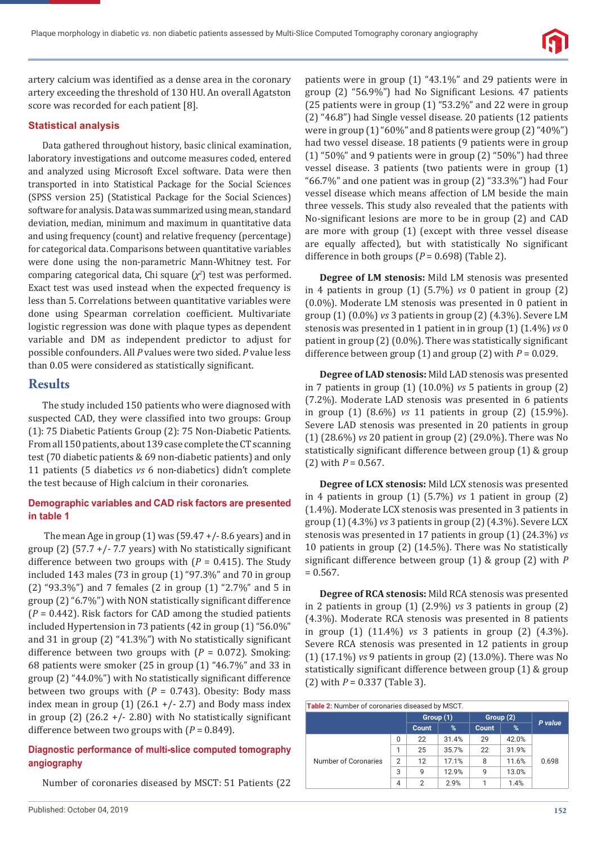

artery calcium was identified as a dense area in the coronary artery exceeding the threshold of 130 HU. An overall Agatston score was recorded for each patient [8].

#### **Statistical analysis**

Data gathered throughout history, basic clinical examination, laboratory investigations and outcome measures coded, entered and analyzed using Microsoft Excel software. Data were then transported in into Statistical Package for the Social Sciences (SPSS version 25) (Statistical Package for the Social Sciences) software for analysis. Data was summarized using mean, standard deviation, median, minimum and maximum in quantitative data and using frequency (count) and relative frequency (percentage) for categorical data. Comparisons between quantitative variables were done using the non-parametric Mann-Whitney test. For comparing categorical data, Chi square (*χ<sup>2</sup>* ) test was performed. Exact test was used instead when the expected frequency is less than 5. Correlations between quantitative variables were done using Spearman correlation coefficient. Multivariate logistic regression was done with plaque types as dependent variable and DM as independent predictor to adjust for possible confounders. All *P* values were two sided. *P* value less than 0.05 were considered as statistically significant.

### **Results**

The study included 150 patients who were diagnosed with suspected CAD, they were classified into two groups: Group (1): 75 Diabetic Patients Group (2): 75 Non-Diabetic Patients. From all 150 patients, about 139 case complete the CT scanning test (70 diabetic patients & 69 non-diabetic patients) and only 11 patients (5 diabetics *vs* 6 non-diabetics) didn't complete the test because of High calcium in their coronaries.

#### **Demographic variables and CAD risk factors are presented in table 1**

The mean Age in group  $(1)$  was  $(59.47 + / - 8.6$  years) and in group (2) (57.7 +/- 7.7 years) with No statistically significant difference between two groups with  $(P = 0.415)$ . The Study included 143 males (73 in group (1) "97.3%" and 70 in group (2) "93.3%") and 7 females (2 in group (1) "2.7%" and 5 in group  $(2)$  "6.7%") with NON statistically significant difference (*P* = 0.442). Risk factors for CAD among the studied patients included Hypertension in 73 patients (42 in group (1) "56.0%" and 31 in group  $(2)$  "41.3%") with No statistically significant difference between two groups with (*P* = 0.072). Smoking: 68 patients were smoker (25 in group (1) "46.7%" and 33 in group  $(2)$  "44.0%") with No statistically significant difference between two groups with (*P* = 0.743). Obesity: Body mass index mean in group  $(1)$   $(26.1 +/- 2.7)$  and Body mass index in group (2) (26.2 +/- 2.80) with No statistically significant difference between two groups with (*P* = 0.849).

### **Diagnostic performance of multi-slice computed tomography angiography**

Number of coronaries diseased by MSCT: 51 Patients (22

patients were in group (1) "43.1%" and 29 patients were in group (2) "56.9%") had No Significant Lesions. 47 patients (25 patients were in group (1) "53.2%" and 22 were in group (2) "46.8") had Single vessel disease. 20 patients (12 patients were in group (1) "60%" and 8 patients were group (2) "40%") had two vessel disease. 18 patients (9 patients were in group (1) "50%" and 9 patients were in group (2) "50%") had three vessel disease. 3 patients (two patients were in group (1) "66.7%" and one patient was in group (2) "33.3%") had Four vessel disease which means affection of LM beside the main three vessels. This study also revealed that the patients with No-significant lesions are more to be in group (2) and CAD are more with group (1) (except with three vessel disease are equally affected), but with statistically No significant difference in both groups (*P* = 0.698) (Table 2).

**Degree of LM stenosis:** Mild LM stenosis was presented in 4 patients in group (1) (5.7%) *vs* 0 patient in group (2) (0.0%). Moderate LM stenosis was presented in 0 patient in group (1) (0.0%) *vs* 3 patients in group (2) (4.3%). Severe LM stenosis was presented in 1 patient in in group (1) (1.4%) *vs* 0 patient in group  $(2)$   $(0.0\%)$ . There was statistically significant difference between group (1) and group (2) with *P* = 0.029.

**Degree of LAD stenosis:** Mild LAD stenosis was presented in 7 patients in group (1) (10.0%) *vs* 5 patients in group (2) (7.2%). Moderate LAD stenosis was presented in 6 patients in group (1) (8.6%) *vs* 11 patients in group (2) (15.9%). Severe LAD stenosis was presented in 20 patients in group (1) (28.6%) *vs* 20 patient in group (2) (29.0%). There was No statistically significant difference between group (1) & group (2) with *P* = 0.567.

**Degree of LCX stenosis:** Mild LCX stenosis was presented in 4 patients in group (1) (5.7%) *vs* 1 patient in group (2) (1.4%). Moderate LCX stenosis was presented in 3 patients in group (1) (4.3%) *vs* 3 patients in group (2) (4.3%). Severe LCX stenosis was presented in 17 patients in group (1) (24.3%) *vs* 10 patients in group (2) (14.5%). There was No statistically significant difference between group (1) & group (2) with *P*  $= 0.567.$ 

**Degree of RCA stenosis:** Mild RCA stenosis was presented in 2 patients in group (1) (2.9%) *vs* 3 patients in group (2) (4.3%). Moderate RCA stenosis was presented in 8 patients in group (1) (11.4%) *vs* 3 patients in group (2) (4.3%). Severe RCA stenosis was presented in 12 patients in group (1) (17.1%) *vs* 9 patients in group (2) (13.0%). There was No statistically significant difference between group (1) & group (2) with *P* = 0.337 (Table 3).

| <b>Table 2: Number of coronaries diseased by MSCT.</b> |                |              |       |              |       |         |  |  |
|--------------------------------------------------------|----------------|--------------|-------|--------------|-------|---------|--|--|
|                                                        |                | Group (1)    |       | Group (2)    |       | P value |  |  |
|                                                        |                | <b>Count</b> | %     | <b>Count</b> | %     |         |  |  |
|                                                        | $\Omega$       | 22           | 31.4% | 29           | 42.0% |         |  |  |
|                                                        | 1              | 25           | 35.7% | 22           | 31.9% |         |  |  |
| Number of Coronaries                                   | $\overline{2}$ | 12           | 17.1% | 8            | 11.6% | 0.698   |  |  |
|                                                        | 3              | 9            | 12.9% | g            | 13.0% |         |  |  |
|                                                        | $\overline{4}$ | 2            | 2.9%  |              | 1.4%  |         |  |  |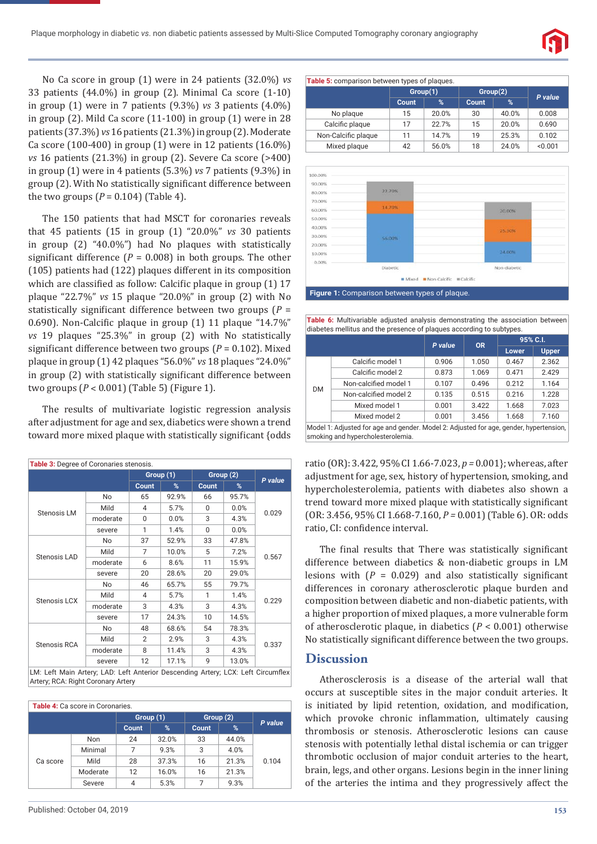

No Ca score in group (1) were in 24 patients (32.0%) *vs* 33 patients (44.0%) in group (2). Minimal Ca score (1-10) in group (1) were in 7 patients (9.3%) *vs* 3 patients (4.0%) in group (2). Mild Ca score (11-100) in group (1) were in 28 patients (37.3%) *vs* 16 patients (21.3%) in group (2). Moderate Ca score (100-400) in group (1) were in 12 patients (16.0%) *vs* 16 patients (21.3%) in group (2). Severe Ca score (>400) in group (1) were in 4 patients (5.3%) *vs* 7 patients (9.3%) in group (2). With No statistically significant difference between the two groups  $(P = 0.104)$  (Table 4).

The 150 patients that had MSCT for coronaries reveals that 45 patients (15 in group (1) "20.0%" *vs* 30 patients in group (2) "40.0%") had No plaques with statistically significant difference ( $P = 0.008$ ) in both groups. The other (105) patients had (122) plaques different in its composition which are classified as follow: Calcific plaque in group (1) 17 plaque "22.7%" *vs* 15 plaque "20.0%" in group (2) with No statistically significant difference between two groups  $(P =$ 0.690). Non-Calcific plaque in group (1) 11 plaque "14.7%" *vs* 19 plaques "25.3%" in group (2) with No statistically significant difference between two groups ( $P = 0.102$ ). Mixed plaque in group (1) 42 plaques "56.0%" *vs* 18 plaques "24.0%" in group (2) with statistically significant difference between two groups (*P* ˂ 0.001) (Table 5) (Figure 1).

The results of multivariate logistic regression analysis after adjustment for age and sex, diabetics were shown a trend toward more mixed plaque with statistically significant {odds

| Table 3: Degree of Coronaries stenosis. |          |                |       |           |       |         |  |  |
|-----------------------------------------|----------|----------------|-------|-----------|-------|---------|--|--|
|                                         |          | Group (1)      |       | Group (2) |       | P value |  |  |
|                                         |          | <b>Count</b>   | %     | Count     | %     |         |  |  |
|                                         | No       | 65             | 92.9% | 66        | 95.7% | 0.029   |  |  |
| Stenosis LM                             | Mild     | $\overline{4}$ | 5.7%  | $\Omega$  | 0.0%  |         |  |  |
|                                         | moderate | $\Omega$       | 0.0%  | 3         | 4.3%  |         |  |  |
|                                         | severe   | 1              | 1.4%  | $\Omega$  | 0.0%  |         |  |  |
| Stenosis LAD                            | No       | 37             | 52.9% | 33        | 47.8% | 0.567   |  |  |
|                                         | Mild     | 7              | 10.0% | 5         | 7.2%  |         |  |  |
|                                         | moderate | 6              | 8.6%  | 11        | 15.9% |         |  |  |
|                                         | severe   | 20             | 28.6% | 20        | 29.0% |         |  |  |
|                                         | No       | 46             | 65.7% | 55        | 79.7% | 0.229   |  |  |
|                                         | Mild     | $\overline{4}$ | 5.7%  | 1         | 1.4%  |         |  |  |
| Stenosis LCX                            | moderate | 3              | 4.3%  | 3         | 4.3%  |         |  |  |
|                                         | severe   | 17             | 24.3% | 10        | 14.5% |         |  |  |
| Stenosis RCA                            | No       | 48             | 68.6% | 54        | 78.3% | 0.337   |  |  |
|                                         | Mild     | 2              | 2.9%  | 3         | 4.3%  |         |  |  |
|                                         | moderate | 8              | 11.4% | 3         | 4.3%  |         |  |  |
|                                         | severe   | 12             | 17.1% | 9         | 13.0% |         |  |  |

LM: Left Main Artery; LAD: Left Anterior Descending Artery; LCX: Left Circumflex Artery; RCA: Right Coronary Artery

| <b>Table 4:</b> Ca score in Coronaries. |          |           |       |              |       |         |  |  |
|-----------------------------------------|----------|-----------|-------|--------------|-------|---------|--|--|
|                                         |          | Group (1) |       | Group (2)    |       | P value |  |  |
|                                         |          | Count     | %     | <b>Count</b> | %     |         |  |  |
| Ca score                                | Non      | 24        | 32.0% | 33           | 44.0% | 0.104   |  |  |
|                                         | Minimal  | 7         | 9.3%  | 3            | 4.0%  |         |  |  |
|                                         | Mild     | 28        | 37.3% | 16           | 21.3% |         |  |  |
|                                         | Moderate | 12        | 16.0% | 16           | 21.3% |         |  |  |
|                                         | Severe   | 4         | 5.3%  | 7            | 9.3%  |         |  |  |

| Table 5: comparison between types of plaques. |       |          |              |         |         |  |  |  |
|-----------------------------------------------|-------|----------|--------------|---------|---------|--|--|--|
|                                               |       | Group(1) | Group(2)     | P value |         |  |  |  |
|                                               | Count | %        | <b>Count</b> | %       |         |  |  |  |
| No plaque                                     | 15    | 20.0%    | 30           | 40.0%   | 0.008   |  |  |  |
| Calcific plaque                               | 17    | 22.7%    | 15           | 20.0%   | 0.690   |  |  |  |
| Non-Calcific plaque                           | 11    | 14.7%    | 19           | 25.3%   | 0.102   |  |  |  |
| Mixed plaque                                  | 42    | 56.0%    | 18           | 24.0%   | < 0.001 |  |  |  |



**Table 6:** Multivariable adjusted analysis demonstrating the association between diabetes mellitus and the presence of plaques according to subtypes.

|                                                                                        |                       | P value |           | 95% C.I. |              |  |  |
|----------------------------------------------------------------------------------------|-----------------------|---------|-----------|----------|--------------|--|--|
|                                                                                        |                       |         | <b>OR</b> | Lower    | <b>Upper</b> |  |  |
|                                                                                        | Calcific model 1      | 0.906   | 1.050     | 0.467    | 2.362        |  |  |
| DM                                                                                     | Calcific model 2      | 0.873   | 1.069     | 0.471    | 2.429        |  |  |
|                                                                                        | Non-calcified model 1 | 0.107   | 0.496     | 0.212    | 1.164        |  |  |
|                                                                                        | Non-calcified model 2 | 0.135   | 0.515     | 0.216    | 1.228        |  |  |
|                                                                                        | Mixed model 1         | 0.001   | 3.422     | 1.668    | 7.023        |  |  |
|                                                                                        | Mixed model 2         | 0.001   | 3.456     | 1.668    | 7.160        |  |  |
| Model 1: Adjusted for age and gender. Model 2: Adjusted for age, gender, hypertension, |                       |         |           |          |              |  |  |

smoking and hypercholesterolemia.

ratio (OR): 3.422, 95% CI 1.66-7.023, *p =* 0.001}; whereas, after adjustment for age, sex, history of hypertension, smoking, and hypercholesterolemia, patients with diabetes also shown a trend toward more mixed plaque with statistically significant (OR: 3.456, 95% CI 1.668-7.160, *P =* 0.001) (Table 6). OR: odds ratio, CI: confidence interval.

The final results that There was statistically significant difference between diabetics & non-diabetic groups in LM lesions with  $(P = 0.029)$  and also statistically significant differences in coronary atherosclerotic plaque burden and composition between diabetic and non-diabetic patients, with a higher proportion of mixed plaques, a more vulnerable form of atherosclerotic plaque, in diabetics (*P* < 0.001) otherwise No statistically significant difference between the two groups.

## **Discussion**

Atherosclerosis is a disease of the arterial wall that occurs at susceptible sites in the major conduit arteries. It is initiated by lipid retention, oxidation, and modification, which provoke chronic inflammation, ultimately causing thrombosis or stenosis. Atherosclerotic lesions can cause stenosis with potentially lethal distal ischemia or can trigger thrombotic occlusion of major conduit arteries to the heart, brain, legs, and other organs. Lesions begin in the inner lining of the arteries the intima and they progressively affect the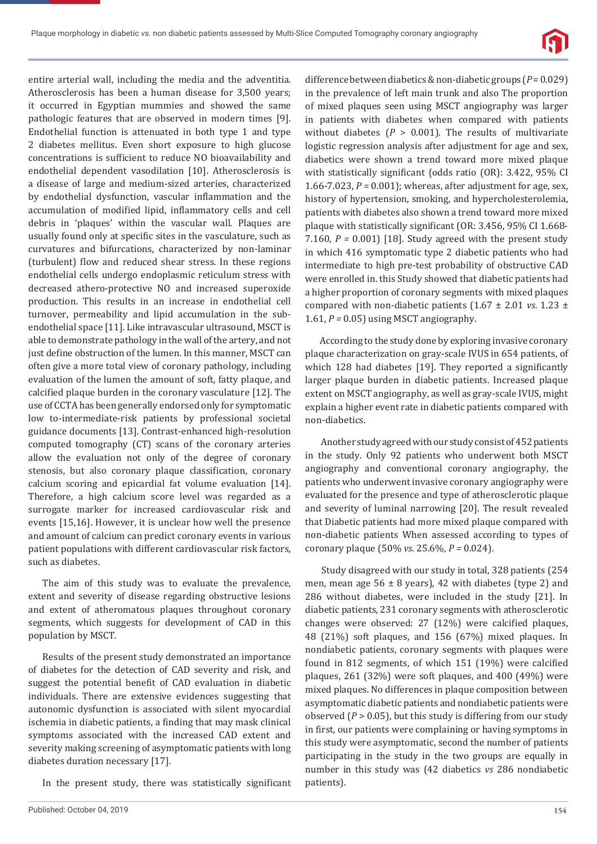

entire arterial wall, including the media and the adventitia. Atherosclerosis has been a human disease for 3,500 years; it occurred in Egyptian mummies and showed the same pathologic features that are observed in modern times [9]. Endothelial function is attenuated in both type 1 and type 2 diabetes mellitus. Even short exposure to high glucose concentrations is sufficient to reduce NO bioavailability and endothelial dependent vasodilation [10]. Atherosclerosis is a disease of large and medium-sized arteries, characterized by endothelial dysfunction, vascular inflammation and the accumulation of modified lipid, inflammatory cells and cell debris in 'plaques' within the vascular wall. Plaques are usually found only at specific sites in the vasculature, such as curvatures and bifurcations, characterized by non-laminar (turbulent) flow and reduced shear stress. In these regions endothelial cells undergo endoplasmic reticulum stress with decreased athero-protective NO and increased superoxide production. This results in an increase in endothelial cell turnover, permeability and lipid accumulation in the subendothelial space [11]. Like intravascular ultrasound, MSCT is able to demonstrate pathology in the wall of the artery, and not just define obstruction of the lumen. In this manner, MSCT can often give a more total view of coronary pathology, including evaluation of the lumen the amount of soft, fatty plaque, and calcified plaque burden in the coronary vasculature [12]. The use of CCTA has been generally endorsed only for symptomatic low to-intermediate-risk patients by professional societal guidance documents [13]. Contrast-enhanced high-resolution computed tomography (CT) scans of the coronary arteries allow the evaluation not only of the degree of coronary stenosis, but also coronary plaque classification, coronary calcium scoring and epicardial fat volume evaluation [14]. Therefore, a high calcium score level was regarded as a surrogate marker for increased cardiovascular risk and events [15,16]. However, it is unclear how well the presence and amount of calcium can predict coronary events in various patient populations with different cardiovascular risk factors, such as diabetes.

The aim of this study was to evaluate the prevalence, extent and severity of disease regarding obstructive lesions and extent of atheromatous plaques throughout coronary segments, which suggests for development of CAD in this population by MSCT.

Results of the present study demonstrated an importance of diabetes for the detection of CAD severity and risk, and suggest the potential benefit of CAD evaluation in diabetic individuals. There are extensive evidences suggesting that autonomic dysfunction is associated with silent myocardial ischemia in diabetic patients, a finding that may mask clinical symptoms associated with the increased CAD extent and severity making screening of asymptomatic patients with long diabetes duration necessary [17].

In the present study, there was statistically significant

difference between diabetics & non-diabetic groups (*P* = 0.029) in the prevalence of left main trunk and also The proportion of mixed plaques seen using MSCT angiography was larger in patients with diabetes when compared with patients without diabetes  $(P > 0.001)$ . The results of multivariate logistic regression analysis after adjustment for age and sex, diabetics were shown a trend toward more mixed plaque with statistically significant {odds ratio (OR): 3.422, 95% CI 1.66-7.023, *P =* 0.001}; whereas, after adjustment for age, sex, history of hypertension, smoking, and hypercholesterolemia, patients with diabetes also shown a trend toward more mixed plaque with statistically significant (OR:  $3.456$ ,  $95\%$  CI  $1.668$ -7.160, *P =* 0.001) [18]. Study agreed with the present study in which 416 symptomatic type 2 diabetic patients who had intermediate to high pre-test probability of obstructive CAD were enrolled in. this Study showed that diabetic patients had a higher proportion of coronary segments with mixed plaques compared with non-diabetic patients (1.67 ± 2.01 *vs*. 1.23 ± 1.61, *P =* 0.05) using MSCT angiography.

According to the study done by exploring invasive coronary plaque characterization on gray-scale IVUS in 654 patients, of which 128 had diabetes [19]. They reported a significantly larger plaque burden in diabetic patients. Increased plaque extent on MSCT angiography, as well as gray-scale IVUS, might explain a higher event rate in diabetic patients compared with non-diabetics.

 Another study agreed with our study consist of 452 patients in the study. Only 92 patients who underwent both MSCT angiography and conventional coronary angiography, the patients who underwent invasive coronary angiography were evaluated for the presence and type of atherosclerotic plaque and severity of luminal narrowing [20]. The result revealed that Diabetic patients had more mixed plaque compared with non-diabetic patients When assessed according to types of coronary plaque (50% *vs*. 25.6%, *P =* 0.024).

 Study disagreed with our study in total, 328 patients (254 men, mean age  $56 \pm 8$  years), 42 with diabetes (type 2) and 286 without diabetes, were included in the study [21]. In diabetic patients, 231 coronary segments with atherosclerotic changes were observed: 27 (12%) were calcified plaques, 48 (21%) soft plaques, and 156 (67%) mixed plaques. In nondiabetic patients, coronary segments with plaques were found in 812 segments, of which 151 (19%) were calcified plaques, 261 (32%) were soft plaques, and 400 (49%) were mixed plaques. No differences in plaque composition between asymptomatic diabetic patients and nondiabetic patients were observed (*P* > 0.05), but this study is differing from our study in first, our patients were complaining or having symptoms in this study were asymptomatic, second the number of patients participating in the study in the two groups are equally in number in this study was (42 diabetics *vs* 286 nondiabetic patients).